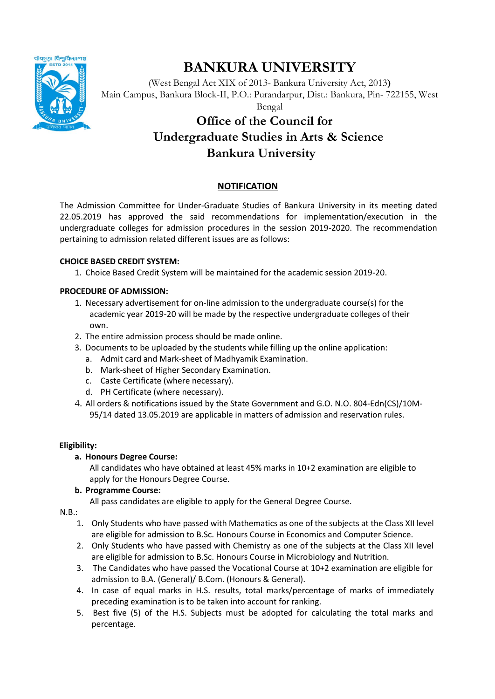

# **BANKURA UNIVERSITY**

(West Bengal Act XIX of 2013- Bankura University Act, 2013**)** Main Campus, Bankura Block-II, P.O.: Purandarpur, Dist.: Bankura, Pin- 722155, West

Bengal

## **Office of the Council for Undergraduate Studies in Arts & Science Bankura University**

## **NOTIFICATION**

The Admission Committee for Under-Graduate Studies of Bankura University in its meeting dated 22.05.2019 has approved the said recommendations for implementation/execution in the undergraduate colleges for admission procedures in the session 2019-2020. The recommendation pertaining to admission related different issues are as follows:

#### **CHOICE BASED CREDIT SYSTEM:**

1. Choice Based Credit System will be maintained for the academic session 2019-20.

### **PROCEDURE OF ADMISSION:**

- 1. Necessary advertisement for on-line admission to the undergraduate course(s) for the academic year 2019-20 will be made by the respective undergraduate colleges of their own.
- 2. The entire admission process should be made online.
- 3. Documents to be uploaded by the students while filling up the online application:
	- a. Admit card and Mark-sheet of Madhyamik Examination.
	- b. Mark-sheet of Higher Secondary Examination.
	- c. Caste Certificate (where necessary).
	- d. PH Certificate (where necessary).
- 4. All orders & notifications issued by the State Government and G.O. N.O. 804-Edn(CS)/10M-95/14 dated 13.05.2019 are applicable in matters of admission and reservation rules.

## **Eligibility:**

## **a. Honours Degree Course:**

All candidates who have obtained at least 45% marks in 10+2 examination are eligible to apply for the Honours Degree Course.

#### **b. Programme Course:**

All pass candidates are eligible to apply for the General Degree Course.

N.B.:

- 1. Only Students who have passed with Mathematics as one of the subjects at the Class XII level are eligible for admission to B.Sc. Honours Course in Economics and Computer Science.
- 2. Only Students who have passed with Chemistry as one of the subjects at the Class XII level are eligible for admission to B.Sc. Honours Course in Microbiology and Nutrition.
- 3. The Candidates who have passed the Vocational Course at 10+2 examination are eligible for admission to B.A. (General)/ B.Com. (Honours & General).
- 4. In case of equal marks in H.S. results, total marks/percentage of marks of immediately preceding examination is to be taken into account for ranking.
- 5. Best five (5) of the H.S. Subjects must be adopted for calculating the total marks and percentage.